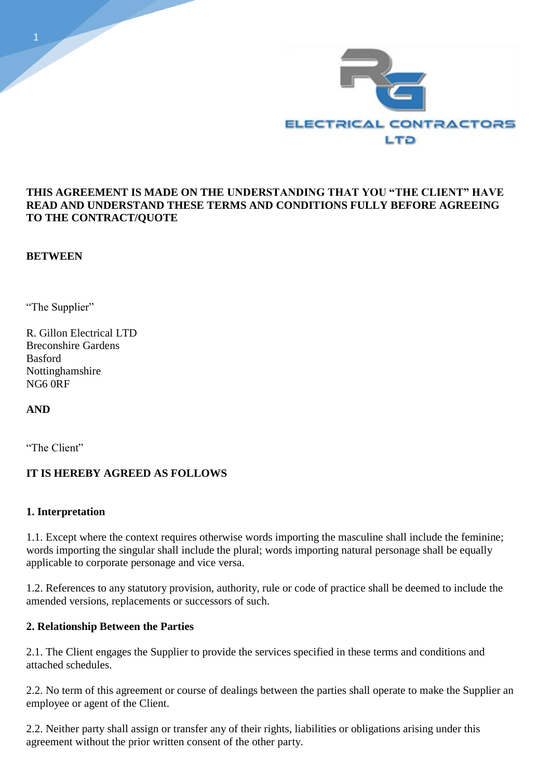

### **THIS AGREEMENT IS MADE ON THE UNDERSTANDING THAT YOU "THE CLIENT" HAVE READ AND UNDERSTAND THESE TERMS AND CONDITIONS FULLY BEFORE AGREEING TO THE CONTRACT/QUOTE**

### **BETWEEN**

"The Supplier"

R. Gillon Electrical LTD Breconshire Gardens Basford Nottinghamshire NG6 0RF

**AND** 

"The Client"

# **IT IS HEREBY AGREED AS FOLLOWS**

#### **1. Interpretation**

1.1. Except where the context requires otherwise words importing the masculine shall include the feminine; words importing the singular shall include the plural; words importing natural personage shall be equally applicable to corporate personage and vice versa.

1.2. References to any statutory provision, authority, rule or code of practice shall be deemed to include the amended versions, replacements or successors of such.

#### **2. Relationship Between the Parties**

2.1. The Client engages the Supplier to provide the services specified in these terms and conditions and attached schedules.

2.2. No term of this agreement or course of dealings between the parties shall operate to make the Supplier an employee or agent of the Client.

2.2. Neither party shall assign or transfer any of their rights, liabilities or obligations arising under this agreement without the prior written consent of the other party.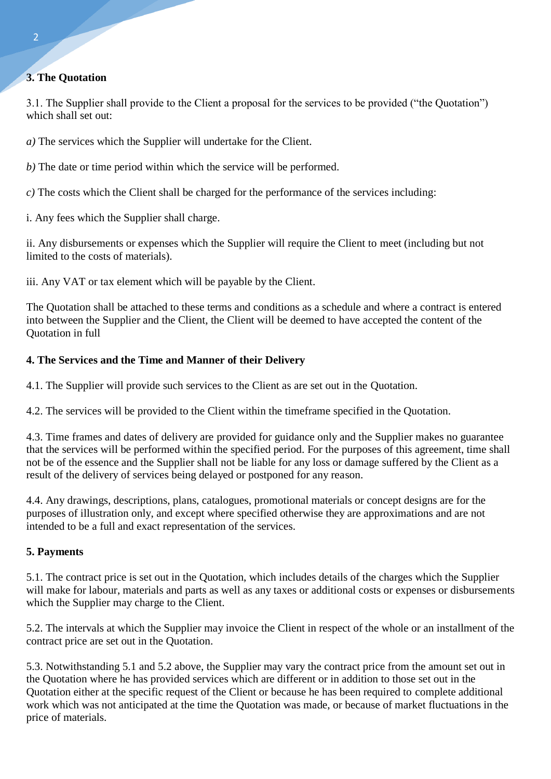# **3. The Quotation**

3.1. The Supplier shall provide to the Client a proposal for the services to be provided ("the Quotation") which shall set out:

*a)* The services which the Supplier will undertake for the Client.

*b)* The date or time period within which the service will be performed.

*c)* The costs which the Client shall be charged for the performance of the services including:

i. Any fees which the Supplier shall charge.

ii. Any disbursements or expenses which the Supplier will require the Client to meet (including but not limited to the costs of materials).

iii. Any VAT or tax element which will be payable by the Client.

The Quotation shall be attached to these terms and conditions as a schedule and where a contract is entered into between the Supplier and the Client, the Client will be deemed to have accepted the content of the Quotation in full

# **4. The Services and the Time and Manner of their Delivery**

4.1. The Supplier will provide such services to the Client as are set out in the Quotation.

4.2. The services will be provided to the Client within the timeframe specified in the Quotation.

4.3. Time frames and dates of delivery are provided for guidance only and the Supplier makes no guarantee that the services will be performed within the specified period. For the purposes of this agreement, time shall not be of the essence and the Supplier shall not be liable for any loss or damage suffered by the Client as a result of the delivery of services being delayed or postponed for any reason.

4.4. Any drawings, descriptions, plans, catalogues, promotional materials or concept designs are for the purposes of illustration only, and except where specified otherwise they are approximations and are not intended to be a full and exact representation of the services.

# **5. Payments**

5.1. The contract price is set out in the Quotation, which includes details of the charges which the Supplier will make for labour, materials and parts as well as any taxes or additional costs or expenses or disbursements which the Supplier may charge to the Client.

5.2. The intervals at which the Supplier may invoice the Client in respect of the whole or an installment of the contract price are set out in the Quotation.

5.3. Notwithstanding 5.1 and 5.2 above, the Supplier may vary the contract price from the amount set out in the Quotation where he has provided services which are different or in addition to those set out in the Quotation either at the specific request of the Client or because he has been required to complete additional work which was not anticipated at the time the Quotation was made, or because of market fluctuations in the price of materials.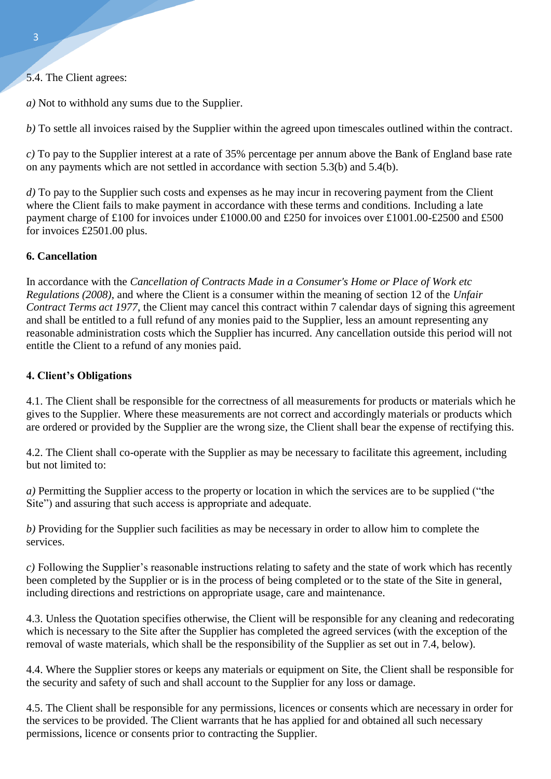5.4. The Client agrees:

*a)* Not to withhold any sums due to the Supplier.

*b)* To settle all invoices raised by the Supplier within the agreed upon timescales outlined within the contract.

*c)* To pay to the Supplier interest at a rate of 35% percentage per annum above the Bank of England base rate on any payments which are not settled in accordance with section 5.3(b) and 5.4(b).

*d*) To pay to the Supplier such costs and expenses as he may incur in recovering payment from the Client where the Client fails to make payment in accordance with these terms and conditions. Including a late payment charge of £100 for invoices under £1000.00 and £250 for invoices over £1001.00-£2500 and £500 for invoices £2501.00 plus.

### **6. Cancellation**

In accordance with the *Cancellation of Contracts Made in a Consumer's Home or Place of Work etc Regulations (2008)*, and where the Client is a consumer within the meaning of section 12 of the *Unfair Contract Terms act 1977*, the Client may cancel this contract within 7 calendar days of signing this agreement and shall be entitled to a full refund of any monies paid to the Supplier, less an amount representing any reasonable administration costs which the Supplier has incurred. Any cancellation outside this period will not entitle the Client to a refund of any monies paid.

### **4. Client's Obligations**

4.1. The Client shall be responsible for the correctness of all measurements for products or materials which he gives to the Supplier. Where these measurements are not correct and accordingly materials or products which are ordered or provided by the Supplier are the wrong size, the Client shall bear the expense of rectifying this.

4.2. The Client shall co-operate with the Supplier as may be necessary to facilitate this agreement, including but not limited to:

*a)* Permitting the Supplier access to the property or location in which the services are to be supplied ("the Site") and assuring that such access is appropriate and adequate.

*b)* Providing for the Supplier such facilities as may be necessary in order to allow him to complete the services.

*c)* Following the Supplier's reasonable instructions relating to safety and the state of work which has recently been completed by the Supplier or is in the process of being completed or to the state of the Site in general, including directions and restrictions on appropriate usage, care and maintenance.

4.3. Unless the Quotation specifies otherwise, the Client will be responsible for any cleaning and redecorating which is necessary to the Site after the Supplier has completed the agreed services (with the exception of the removal of waste materials, which shall be the responsibility of the Supplier as set out in 7.4, below).

4.4. Where the Supplier stores or keeps any materials or equipment on Site, the Client shall be responsible for the security and safety of such and shall account to the Supplier for any loss or damage.

4.5. The Client shall be responsible for any permissions, licences or consents which are necessary in order for the services to be provided. The Client warrants that he has applied for and obtained all such necessary permissions, licence or consents prior to contracting the Supplier.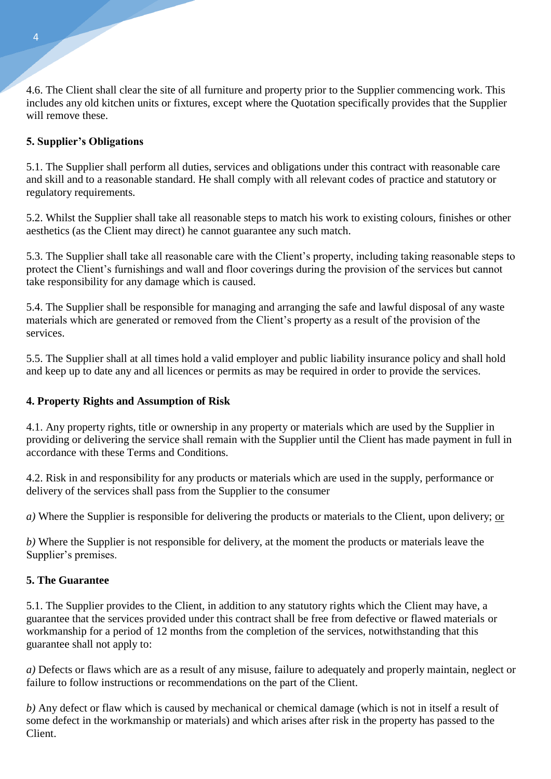4.6. The Client shall clear the site of all furniture and property prior to the Supplier commencing work. This includes any old kitchen units or fixtures, except where the Quotation specifically provides that the Supplier will remove these.

# **5. Supplier's Obligations**

5.1. The Supplier shall perform all duties, services and obligations under this contract with reasonable care and skill and to a reasonable standard. He shall comply with all relevant codes of practice and statutory or regulatory requirements.

5.2. Whilst the Supplier shall take all reasonable steps to match his work to existing colours, finishes or other aesthetics (as the Client may direct) he cannot guarantee any such match.

5.3. The Supplier shall take all reasonable care with the Client's property, including taking reasonable steps to protect the Client's furnishings and wall and floor coverings during the provision of the services but cannot take responsibility for any damage which is caused.

5.4. The Supplier shall be responsible for managing and arranging the safe and lawful disposal of any waste materials which are generated or removed from the Client's property as a result of the provision of the services.

5.5. The Supplier shall at all times hold a valid employer and public liability insurance policy and shall hold and keep up to date any and all licences or permits as may be required in order to provide the services.

# **4. Property Rights and Assumption of Risk**

4.1. Any property rights, title or ownership in any property or materials which are used by the Supplier in providing or delivering the service shall remain with the Supplier until the Client has made payment in full in accordance with these Terms and Conditions.

4.2. Risk in and responsibility for any products or materials which are used in the supply, performance or delivery of the services shall pass from the Supplier to the consumer

*a)* Where the Supplier is responsible for delivering the products or materials to the Client, upon delivery; or

*b)* Where the Supplier is not responsible for delivery, at the moment the products or materials leave the Supplier's premises.

# **5. The Guarantee**

5.1. The Supplier provides to the Client, in addition to any statutory rights which the Client may have, a guarantee that the services provided under this contract shall be free from defective or flawed materials or workmanship for a period of 12 months from the completion of the services, notwithstanding that this guarantee shall not apply to:

*a)* Defects or flaws which are as a result of any misuse, failure to adequately and properly maintain, neglect or failure to follow instructions or recommendations on the part of the Client.

*b)* Any defect or flaw which is caused by mechanical or chemical damage (which is not in itself a result of some defect in the workmanship or materials) and which arises after risk in the property has passed to the Client.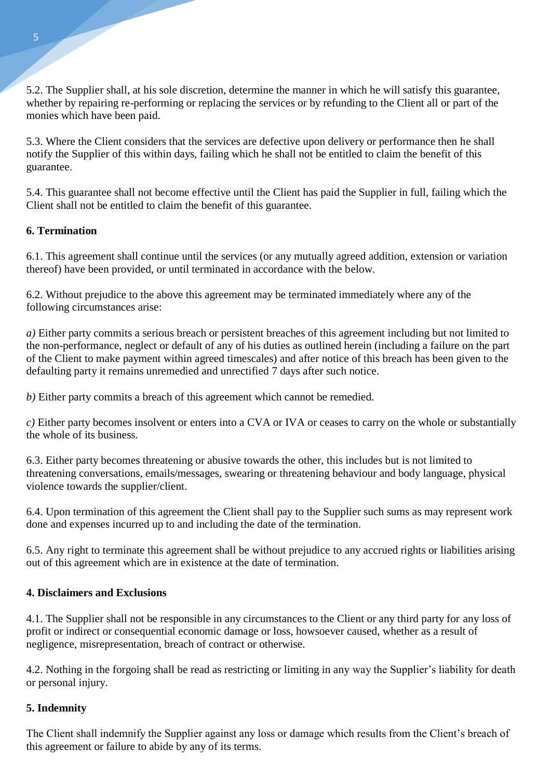5.2. The Supplier shall, at his sole discretion, determine the manner in which he will satisfy this guarantee, whether by repairing re-performing or replacing the services or by refunding to the Client all or part of the monies which have been paid.

5.3. Where the Client considers that the services are defective upon delivery or performance then he shall notify the Supplier of this within days, failing which he shall not be entitled to claim the benefit of this guarantee.

5.4. This guarantee shall not become effective until the Client has paid the Supplier in full, failing which the Client shall not be entitled to claim the benefit of this guarantee.

### **6. Termination**

6.1. This agreement shall continue until the services (or any mutually agreed addition, extension or variation thereof) have been provided, or until terminated in accordance with the below.

6.2. Without prejudice to the above this agreement may be terminated immediately where any of the following circumstances arise:

*a)* Either party commits a serious breach or persistent breaches of this agreement including but not limited to the non-performance, neglect or default of any of his duties as outlined herein (including a failure on the part of the Client to make payment within agreed timescales) and after notice of this breach has been given to the defaulting party it remains unremedied and unrectified 7 days after such notice.

*b)* Either party commits a breach of this agreement which cannot be remedied.

*c)* Either party becomes insolvent or enters into a CVA or IVA or ceases to carry on the whole or substantially the whole of its business.

6.3. Either party becomes threatening or abusive towards the other, this includes but is not limited to threatening conversations, emails/messages, swearing or threatening behaviour and body language, physical violence towards the supplier/client.

6.4. Upon termination of this agreement the Client shall pay to the Supplier such sums as may represent work done and expenses incurred up to and including the date of the termination.

6.5. Any right to terminate this agreement shall be without prejudice to any accrued rights or liabilities arising out of this agreement which are in existence at the date of termination.

#### **4. Disclaimers and Exclusions**

4.1. The Supplier shall not be responsible in any circumstances to the Client or any third party for any loss of profit or indirect or consequential economic damage or loss, howsoever caused, whether as a result of negligence, misrepresentation, breach of contract or otherwise.

4.2. Nothing in the forgoing shall be read as restricting or limiting in any way the Supplier's liability for death or personal injury.

#### **5. Indemnity**

The Client shall indemnify the Supplier against any loss or damage which results from the Client's breach of this agreement or failure to abide by any of its terms.